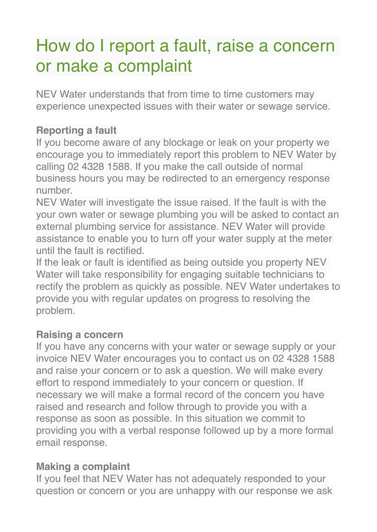# How do I report a fault, raise a concern or make a complaint

NEV Water understands that from time to time customers may experience unexpected issues with their water or sewage service.

## **Reporting a fault**

If you become aware of any blockage or leak on your property we encourage you to immediately report this problem to NEV Water by calling 02 4328 1588. If you make the call outside of normal business hours you may be redirected to an emergency response number.

NEV Water will investigate the issue raised. If the fault is with the your own water or sewage plumbing you will be asked to contact an external plumbing service for assistance. NEV Water will provide assistance to enable you to turn off your water supply at the meter until the fault is rectified.

If the leak or fault is identified as being outside you property NEV Water will take responsibility for engaging suitable technicians to rectify the problem as quickly as possible. NEV Water undertakes to provide you with regular updates on progress to resolving the problem.

### **Raising a concern**

If you have any concerns with your water or sewage supply or your invoice NEV Water encourages you to contact us on 02 4328 1588 and raise your concern or to ask a question. We will make every effort to respond immediately to your concern or question. If necessary we will make a formal record of the concern you have raised and research and follow through to provide you with a response as soon as possible. In this situation we commit to providing you with a verbal response followed up by a more formal email response.

### **Making a complaint**

If you feel that NEV Water has not adequately responded to your question or concern or you are unhappy with our response we ask